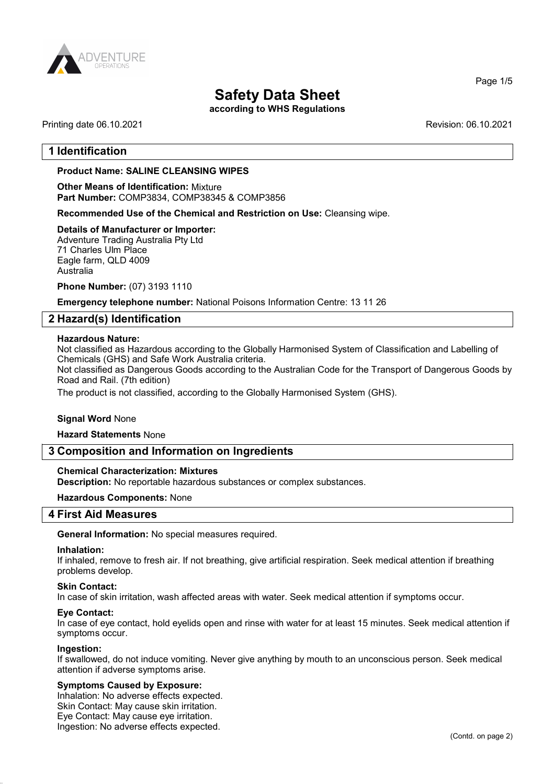

according to WHS Regulations

## Printing date 06.10.2021 **Printing date 06.10.2021**

Page 1/5

## 1 Identification

## Product Name: SALINE CLEANSING WIPES

Other Means of Identification: Mixture Part Number: COMP3834, COMP38345 & COMP3856

Recommended Use of the Chemical and Restriction on Use: Cleansing wipe.

#### Details of Manufacturer or Importer:

Adventure Trading Australia Pty Ltd 71 Charles Ulm Place Eagle farm, QLD 4009 Australia

Phone Number: (07) 3193 1110

Emergency telephone number: National Poisons Information Centre: 13 11 26

## 2 Hazard(s) Identification

#### Hazardous Nature:

Not classified as Hazardous according to the Globally Harmonised System of Classification and Labelling of Chemicals (GHS) and Safe Work Australia criteria.

Not classified as Dangerous Goods according to the Australian Code for the Transport of Dangerous Goods by Road and Rail. (7th edition)

The product is not classified, according to the Globally Harmonised System (GHS).

#### Signal Word None

#### Hazard Statements None

#### 3 Composition and Information on Ingredients

#### Chemical Characterization: Mixtures

Description: No reportable hazardous substances or complex substances.

#### Hazardous Components: None

#### 4 First Aid Measures

#### General Information: No special measures required.

#### Inhalation:

If inhaled, remove to fresh air. If not breathing, give artificial respiration. Seek medical attention if breathing problems develop.

## Skin Contact:

In case of skin irritation, wash affected areas with water. Seek medical attention if symptoms occur.

#### Eye Contact:

In case of eye contact, hold eyelids open and rinse with water for at least 15 minutes. Seek medical attention if symptoms occur.

#### Ingestion:

If swallowed, do not induce vomiting. Never give anything by mouth to an unconscious person. Seek medical attention if adverse symptoms arise.

#### Symptoms Caused by Exposure:

Inhalation: No adverse effects expected. Skin Contact: May cause skin irritation. Eye Contact: May cause eye irritation. Ingestion: No adverse effects expected.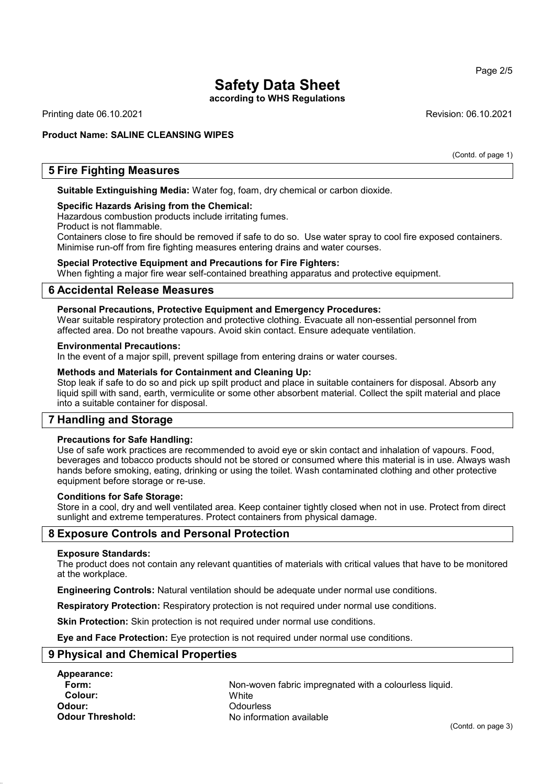according to WHS Regulations

Printing date 06.10.2021 Revision: 06.10.2021

Product Name: SALINE CLEANSING WIPES

(Contd. of page 1)

## 5 Fire Fighting Measures

Suitable Extinguishing Media: Water fog, foam, dry chemical or carbon dioxide.

#### Specific Hazards Arising from the Chemical:

Hazardous combustion products include irritating fumes.

Product is not flammable.

Containers close to fire should be removed if safe to do so. Use water spray to cool fire exposed containers. Minimise run-off from fire fighting measures entering drains and water courses.

#### Special Protective Equipment and Precautions for Fire Fighters:

When fighting a major fire wear self-contained breathing apparatus and protective equipment.

### 6 Accidental Release Measures

#### Personal Precautions, Protective Equipment and Emergency Procedures:

Wear suitable respiratory protection and protective clothing. Evacuate all non-essential personnel from affected area. Do not breathe vapours. Avoid skin contact. Ensure adequate ventilation.

#### Environmental Precautions:

In the event of a major spill, prevent spillage from entering drains or water courses.

#### Methods and Materials for Containment and Cleaning Up:

Stop leak if safe to do so and pick up spilt product and place in suitable containers for disposal. Absorb any liquid spill with sand, earth, vermiculite or some other absorbent material. Collect the spilt material and place into a suitable container for disposal.

## 7 Handling and Storage

#### Precautions for Safe Handling:

Use of safe work practices are recommended to avoid eye or skin contact and inhalation of vapours. Food, beverages and tobacco products should not be stored or consumed where this material is in use. Always wash hands before smoking, eating, drinking or using the toilet. Wash contaminated clothing and other protective equipment before storage or re-use.

#### Conditions for Safe Storage:

Store in a cool, dry and well ventilated area. Keep container tightly closed when not in use. Protect from direct sunlight and extreme temperatures. Protect containers from physical damage.

## 8 Exposure Controls and Personal Protection

#### Exposure Standards:

The product does not contain any relevant quantities of materials with critical values that have to be monitored at the workplace.

Engineering Controls: Natural ventilation should be adequate under normal use conditions.

Respiratory Protection: Respiratory protection is not required under normal use conditions.

**Skin Protection:** Skin protection is not required under normal use conditions.

Eye and Face Protection: Eye protection is not required under normal use conditions.

## 9 Physical and Chemical Properties

Appearance: Colour: White Odour: Odourless

Form: **Non-woven fabric impregnated with a colourless liquid.** Non-woven fabric impregnated with a colourless liquid. **Odour Threshold:** No information available

#### Page 2/5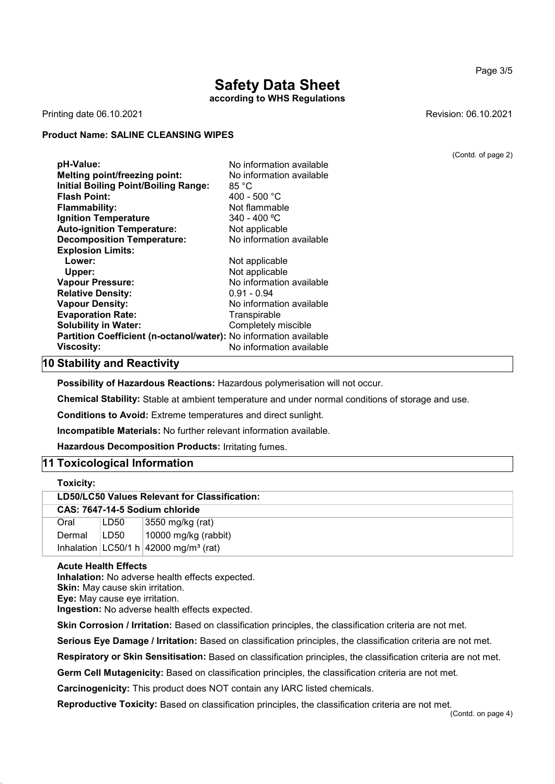according to WHS Regulations

Printing date 06.10.2021 Revision: 06.10.2021

### Product Name: SALINE CLEANSING WIPES

**pH-Value:** No information available Melting point/freezing point: No information available Initial Boiling Point/Boiling Range: 85 °C Flash Point: 400 - 500 °C **Flammability:** Not flammable Ignition Temperature 340 - 400 °C Auto-ignition Temperature: Not applicable **Decomposition Temperature:** No information available Explosion Limits: Lower: Not applicable Upper: Not applicable Vapour Pressure: No information available Relative Density: 0.91 - 0.94 Vapour Density: Vapour Density: No information available Evaporation Rate: Transpirable Solubility in Water: Completely miscible Partition Coefficient (n-octanol/water): No information available **Viscosity:** No information available

## 10 Stability and Reactivity

Possibility of Hazardous Reactions: Hazardous polymerisation will not occur.

Chemical Stability: Stable at ambient temperature and under normal conditions of storage and use.

Conditions to Avoid: Extreme temperatures and direct sunlight.

Incompatible Materials: No further relevant information available.

Hazardous Decomposition Products: Irritating fumes.

## 11 Toxicological Information

| Toxicity:                                     |      |                                                       |
|-----------------------------------------------|------|-------------------------------------------------------|
| LD50/LC50 Values Relevant for Classification: |      |                                                       |
| CAS: 7647-14-5 Sodium chloride                |      |                                                       |
| Oral                                          | LD50 | 3550 mg/kg (rat)                                      |
| Dermal                                        | LD50 | 10000 mg/kg (rabbit)                                  |
|                                               |      | Inhalation $ LG50/1 h $ 42000 mg/m <sup>3</sup> (rat) |

#### Acute Health Effects

Inhalation: No adverse health effects expected. Skin: May cause skin irritation. Eye: May cause eye irritation. Ingestion: No adverse health effects expected.

Skin Corrosion / Irritation: Based on classification principles, the classification criteria are not met.

Serious Eye Damage / Irritation: Based on classification principles, the classification criteria are not met.

Respiratory or Skin Sensitisation: Based on classification principles, the classification criteria are not met.

Germ Cell Mutagenicity: Based on classification principles, the classification criteria are not met.

Carcinogenicity: This product does NOT contain any IARC listed chemicals.

Reproductive Toxicity: Based on classification principles, the classification criteria are not met.

### Page 3/5

(Contd. of page 2)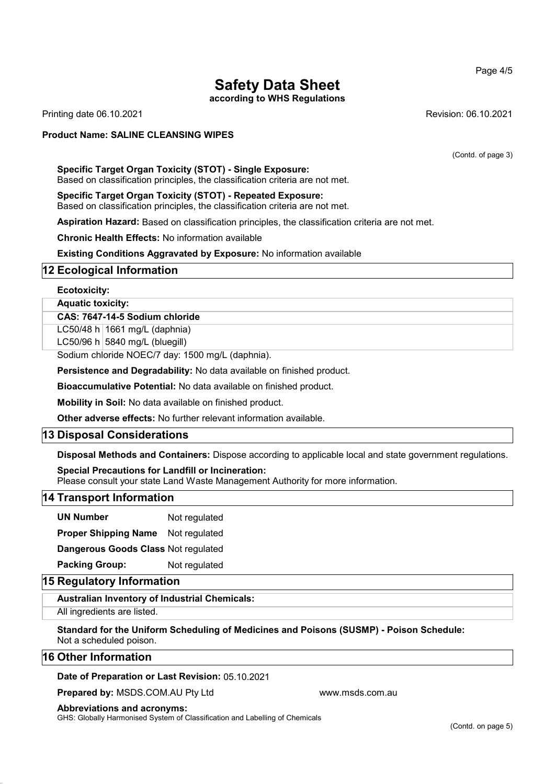Page 4/5

## Safety Data Sheet

according to WHS Regulations

Printing date 06.10.2021 Revision: 06.10.2021

## Product Name: SALINE CLEANSING WIPES

(Contd. of page 3)

#### Specific Target Organ Toxicity (STOT) - Single Exposure: Based on classification principles, the classification criteria are not met.

Specific Target Organ Toxicity (STOT) - Repeated Exposure: Based on classification principles, the classification criteria are not met.

Aspiration Hazard: Based on classification principles, the classification criteria are not met.

Chronic Health Effects: No information available

Existing Conditions Aggravated by Exposure: No information available

## 12 Ecological Information

#### Ecotoxicity:

## Aquatic toxicity:

#### CAS: 7647-14-5 Sodium chloride

LC50/48 h  $1661$  mg/L (daphnia)

LC50/96 h  $5840$  mg/L (bluegill)

Sodium chloride NOEC/7 day: 1500 mg/L (daphnia).

Persistence and Degradability: No data available on finished product.

Bioaccumulative Potential: No data available on finished product.

Mobility in Soil: No data available on finished product.

Other adverse effects: No further relevant information available.

## 13 Disposal Considerations

Disposal Methods and Containers: Dispose according to applicable local and state government regulations.

#### Special Precautions for Landfill or Incineration:

Please consult your state Land Waste Management Authority for more information.

## 14 Transport Information

UN Number Not regulated

Proper Shipping Name Not regulated

Dangerous Goods Class Not regulated

Packing Group: Not regulated

## 15 Regulatory Information

Australian Inventory of Industrial Chemicals:

All ingredients are listed.

Standard for the Uniform Scheduling of Medicines and Poisons (SUSMP) - Poison Schedule: Not a scheduled poison.

## 16 Other Information

#### Date of Preparation or Last Revision: 05.10.2021

Prepared by: MSDS.COM.AU Pty Ltd www.msds.com.au

Abbreviations and acronyms:

GHS: Globally Harmonised System of Classification and Labelling of Chemicals